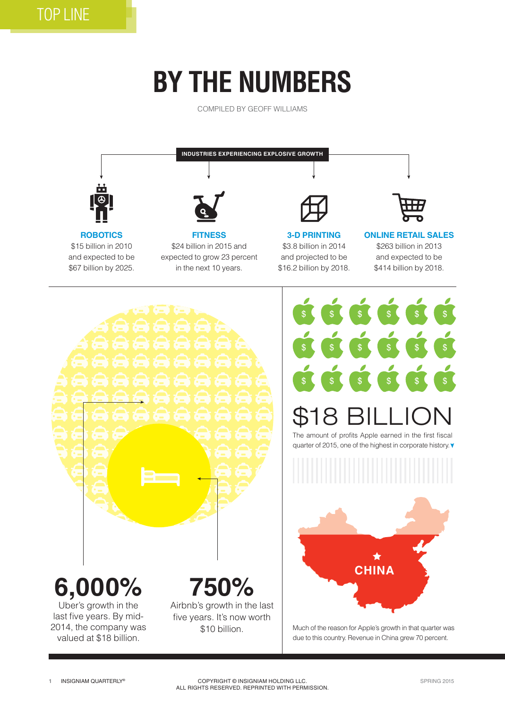## **BY THE NUMBERS**

COMPILED BY GEOFF WILLIAMS





## \$18 BILLION

The amount of profits Apple earned in the first fiscal quarter of 2015, one of the highest in corporate history.



due to this country. Revenue in China grew 70 percent.